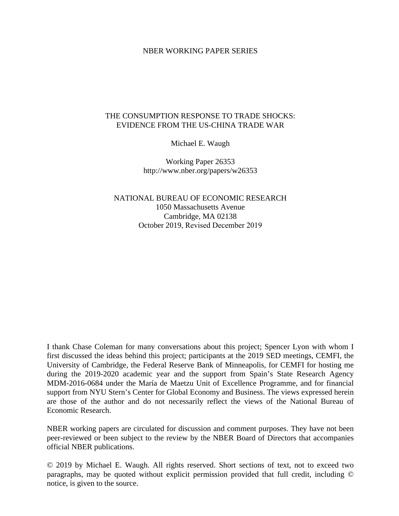#### NBER WORKING PAPER SERIES

#### THE CONSUMPTION RESPONSE TO TRADE SHOCKS: EVIDENCE FROM THE US-CHINA TRADE WAR

Michael E. Waugh

Working Paper 26353 http://www.nber.org/papers/w26353

NATIONAL BUREAU OF ECONOMIC RESEARCH 1050 Massachusetts Avenue Cambridge, MA 02138 October 2019, Revised December 2019

I thank Chase Coleman for many conversations about this project; Spencer Lyon with whom I first discussed the ideas behind this project; participants at the 2019 SED meetings, CEMFI, the University of Cambridge, the Federal Reserve Bank of Minneapolis, for CEMFI for hosting me during the 2019-2020 academic year and the support from Spain's State Research Agency MDM-2016-0684 under the María de Maetzu Unit of Excellence Programme, and for financial support from NYU Stern's Center for Global Economy and Business. The views expressed herein are those of the author and do not necessarily reflect the views of the National Bureau of Economic Research.

NBER working papers are circulated for discussion and comment purposes. They have not been peer-reviewed or been subject to the review by the NBER Board of Directors that accompanies official NBER publications.

© 2019 by Michael E. Waugh. All rights reserved. Short sections of text, not to exceed two paragraphs, may be quoted without explicit permission provided that full credit, including © notice, is given to the source.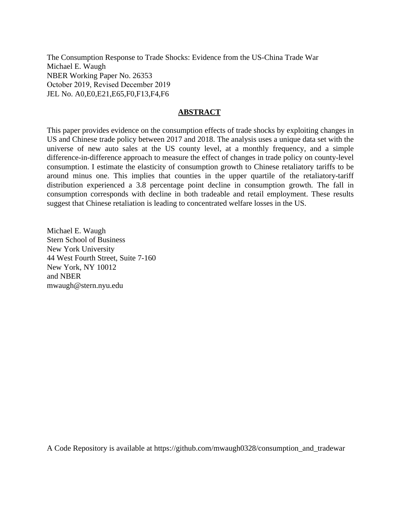The Consumption Response to Trade Shocks: Evidence from the US-China Trade War Michael E. Waugh NBER Working Paper No. 26353 October 2019, Revised December 2019 JEL No. A0,E0,E21,E65,F0,F13,F4,F6

#### **ABSTRACT**

This paper provides evidence on the consumption effects of trade shocks by exploiting changes in US and Chinese trade policy between 2017 and 2018. The analysis uses a unique data set with the universe of new auto sales at the US county level, at a monthly frequency, and a simple difference-in-difference approach to measure the effect of changes in trade policy on county-level consumption. I estimate the elasticity of consumption growth to Chinese retaliatory tariffs to be around minus one. This implies that counties in the upper quartile of the retaliatory-tariff distribution experienced a 3.8 percentage point decline in consumption growth. The fall in consumption corresponds with decline in both tradeable and retail employment. These results suggest that Chinese retaliation is leading to concentrated welfare losses in the US.

Michael E. Waugh Stern School of Business New York University 44 West Fourth Street, Suite 7-160 New York, NY 10012 and NBER mwaugh@stern.nyu.edu

A Code Repository is available at https://github.com/mwaugh0328/consumption\_and\_tradewar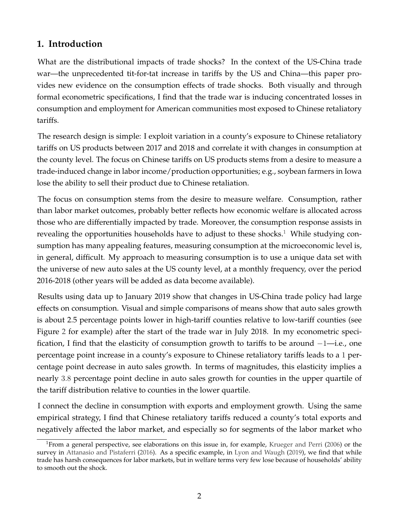# **1. Introduction**

What are the distributional impacts of trade shocks? In the context of the US-China trade war—the unprecedented tit-for-tat increase in tariffs by the US and China—this paper provides new evidence on the consumption effects of trade shocks. Both visually and through formal econometric specifications, I find that the trade war is inducing concentrated losses in consumption and employment for American communities most exposed to Chinese retaliatory tariffs.

The research design is simple: I exploit variation in a county's exposure to Chinese retaliatory tariffs on US products between 2017 and 2018 and correlate it with changes in consumption at the county level. The focus on Chinese tariffs on US products stems from a desire to measure a trade-induced change in labor income/production opportunities; e.g., soybean farmers in Iowa lose the ability to sell their product due to Chinese retaliation.

The focus on consumption stems from the desire to measure welfare. Consumption, rather than labor market outcomes, probably better reflects how economic welfare is allocated across those who are differentially impacted by trade. Moreover, the consumption response assists in revealing the opportunities households have to adjust to these shocks.<sup>[1](#page-2-0)</sup> While studying consumption has many appealing features, measuring consumption at the microeconomic level is, in general, difficult. My approach to measuring consumption is to use a unique data set with the universe of new auto sales at the US county level, at a monthly frequency, over the period 2016-2018 (other years will be added as data become available).

Results using data up to January 2019 show that changes in US-China trade policy had large effects on consumption. Visual and simple comparisons of means show that auto sales growth is about 2.5 percentage points lower in high-tariff counties relative to low-tariff counties (see Figure [2](#page-13-0) for example) after the start of the trade war in July 2018. In my econometric specification, I find that the elasticity of consumption growth to tariffs to be around −1—i.e., one percentage point increase in a county's exposure to Chinese retaliatory tariffs leads to a 1 percentage point decrease in auto sales growth. In terms of magnitudes, this elasticity implies a nearly 3.8 percentage point decline in auto sales growth for counties in the upper quartile of the tariff distribution relative to counties in the lower quartile.

I connect the decline in consumption with exports and employment growth. Using the same empirical strategy, I find that Chinese retaliatory tariffs reduced a county's total exports and negatively affected the labor market, and especially so for segments of the labor market who

<span id="page-2-0"></span><sup>&</sup>lt;sup>1</sup>From a general perspective, see elaborations on this issue in, for example, [Krueger and Perri](#page-30-0) [\(2006\)](#page-30-0) or the survey in [Attanasio and Pistaferri](#page-29-0) [\(2016\)](#page-29-0). As a specific example, in [Lyon and Waugh](#page-30-1) [\(2019\)](#page-30-1), we find that while trade has harsh consequences for labor markets, but in welfare terms very few lose because of households' ability to smooth out the shock.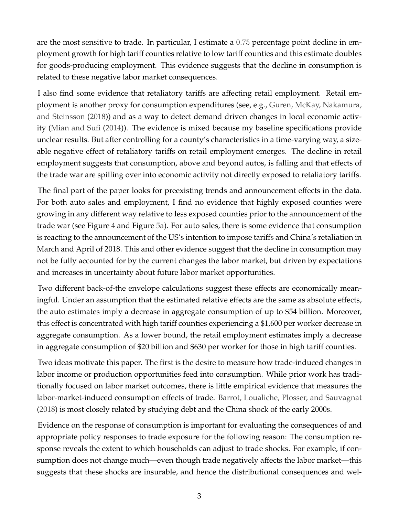are the most sensitive to trade. In particular, I estimate a 0.75 percentage point decline in employment growth for high tariff counties relative to low tariff counties and this estimate doubles for goods-producing employment. This evidence suggests that the decline in consumption is related to these negative labor market consequences.

I also find some evidence that retaliatory tariffs are affecting retail employment. Retail employment is another proxy for consumption expenditures (see, e.g., [Guren, McKay, Nakamura,](#page-30-2) [and Steinsson](#page-30-2) [\(2018\)](#page-30-2)) and as a way to detect demand driven changes in local economic activity [\(Mian and Sufi](#page-30-3) [\(2014\)](#page-30-3)). The evidence is mixed because my baseline specifications provide unclear results. But after controlling for a county's characteristics in a time-varying way, a sizeable negative effect of retaliatory tariffs on retail employment emerges. The decline in retail employment suggests that consumption, above and beyond autos, is falling and that effects of the trade war are spilling over into economic activity not directly exposed to retaliatory tariffs.

The final part of the paper looks for preexisting trends and announcement effects in the data. For both auto sales and employment, I find no evidence that highly exposed counties were growing in any different way relative to less exposed counties prior to the announcement of the trade war (see Figure [4](#page-23-0) and Figure [5a\)](#page-25-0). For auto sales, there is some evidence that consumption is reacting to the announcement of the US's intention to impose tariffs and China's retaliation in March and April of 2018. This and other evidence suggest that the decline in consumption may not be fully accounted for by the current changes the labor market, but driven by expectations and increases in uncertainty about future labor market opportunities.

Two different back-of-the envelope calculations suggest these effects are economically meaningful. Under an assumption that the estimated relative effects are the same as absolute effects, the auto estimates imply a decrease in aggregate consumption of up to \$54 billion. Moreover, this effect is concentrated with high tariff counties experiencing a \$1,600 per worker decrease in aggregate consumption. As a lower bound, the retail employment estimates imply a decrease in aggregate consumption of \$20 billion and \$630 per worker for those in high tariff counties.

Two ideas motivate this paper. The first is the desire to measure how trade-induced changes in labor income or production opportunities feed into consumption. While prior work has traditionally focused on labor market outcomes, there is little empirical evidence that measures the labor-market-induced consumption effects of trade. [Barrot, Loualiche, Plosser, and Sauvagnat](#page-29-1) [\(2018\)](#page-29-1) is most closely related by studying debt and the China shock of the early 2000s.

Evidence on the response of consumption is important for evaluating the consequences of and appropriate policy responses to trade exposure for the following reason: The consumption response reveals the extent to which households can adjust to trade shocks. For example, if consumption does not change much—even though trade negatively affects the labor market—this suggests that these shocks are insurable, and hence the distributional consequences and wel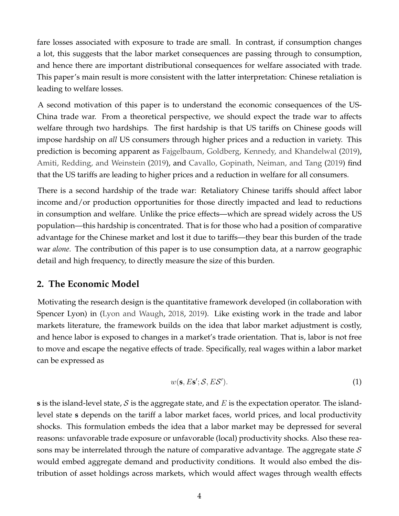fare losses associated with exposure to trade are small. In contrast, if consumption changes a lot, this suggests that the labor market consequences are passing through to consumption, and hence there are important distributional consequences for welfare associated with trade. This paper's main result is more consistent with the latter interpretation: Chinese retaliation is leading to welfare losses.

A second motivation of this paper is to understand the economic consequences of the US-China trade war. From a theoretical perspective, we should expect the trade war to affects welfare through two hardships. The first hardship is that US tariffs on Chinese goods will impose hardship on *all* US consumers through higher prices and a reduction in variety. This prediction is becoming apparent as [Fajgelbaum, Goldberg, Kennedy, and Khandelwal](#page-29-2) [\(2019\)](#page-29-2), [Amiti, Redding, and Weinstein](#page-29-3) [\(2019\)](#page-29-3), and [Cavallo, Gopinath, Neiman, and Tang](#page-29-4) [\(2019\)](#page-29-4) find that the US tariffs are leading to higher prices and a reduction in welfare for all consumers.

There is a second hardship of the trade war: Retaliatory Chinese tariffs should affect labor income and/or production opportunities for those directly impacted and lead to reductions in consumption and welfare. Unlike the price effects—which are spread widely across the US population—this hardship is concentrated. That is for those who had a position of comparative advantage for the Chinese market and lost it due to tariffs—they bear this burden of the trade war *alone*. The contribution of this paper is to use consumption data, at a narrow geographic detail and high frequency, to directly measure the size of this burden.

# <span id="page-4-1"></span>**2. The Economic Model**

Motivating the research design is the quantitative framework developed (in collaboration with Spencer Lyon) in [\(Lyon and Waugh,](#page-30-4) [2018,](#page-30-4) [2019\)](#page-30-1). Like existing work in the trade and labor markets literature, the framework builds on the idea that labor market adjustment is costly, and hence labor is exposed to changes in a market's trade orientation. That is, labor is not free to move and escape the negative effects of trade. Specifically, real wages within a labor market can be expressed as

<span id="page-4-0"></span>
$$
w(\mathbf{s}, E\mathbf{s}'; \mathcal{S}, E\mathcal{S}'). \tag{1}
$$

**s** is the island-level state, S is the aggregate state, and E is the expectation operator. The islandlevel state **s** depends on the tariff a labor market faces, world prices, and local productivity shocks. This formulation embeds the idea that a labor market may be depressed for several reasons: unfavorable trade exposure or unfavorable (local) productivity shocks. Also these reasons may be interrelated through the nature of comparative advantage. The aggregate state  $S$ would embed aggregate demand and productivity conditions. It would also embed the distribution of asset holdings across markets, which would affect wages through wealth effects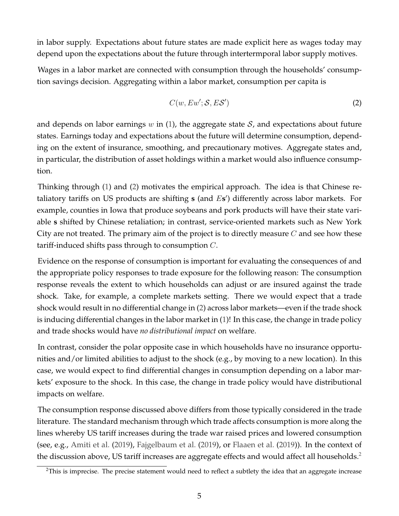in labor supply. Expectations about future states are made explicit here as wages today may depend upon the expectations about the future through intertermporal labor supply motives.

Wages in a labor market are connected with consumption through the households' consumption savings decision. Aggregating within a labor market, consumption per capita is

<span id="page-5-0"></span>
$$
C(w, E w'; \mathcal{S}, E \mathcal{S}') \tag{2}
$$

and depends on labor earnings  $w$  in [\(1\)](#page-4-0), the aggregate state  $S$ , and expectations about future states. Earnings today and expectations about the future will determine consumption, depending on the extent of insurance, smoothing, and precautionary motives. Aggregate states and, in particular, the distribution of asset holdings within a market would also influence consumption.

Thinking through [\(1\)](#page-4-0) and [\(2\)](#page-5-0) motivates the empirical approach. The idea is that Chinese retaliatory tariffs on US products are shifting **s** (and Es') differently across labor markets. For example, counties in Iowa that produce soybeans and pork products will have their state variable **s** shifted by Chinese retaliation; in contrast, service-oriented markets such as New York City are not treated. The primary aim of the project is to directly measure  $C$  and see how these tariff-induced shifts pass through to consumption C.

Evidence on the response of consumption is important for evaluating the consequences of and the appropriate policy responses to trade exposure for the following reason: The consumption response reveals the extent to which households can adjust or are insured against the trade shock. Take, for example, a complete markets setting. There we would expect that a trade shock would result in no differential change in [\(2\)](#page-5-0) across labor markets—even if the trade shock is inducing differential changes in the labor market in [\(1\)](#page-4-0)! In this case, the change in trade policy and trade shocks would have *no distributional impact* on welfare.

In contrast, consider the polar opposite case in which households have no insurance opportunities and/or limited abilities to adjust to the shock (e.g., by moving to a new location). In this case, we would expect to find differential changes in consumption depending on a labor markets' exposure to the shock. In this case, the change in trade policy would have distributional impacts on welfare.

The consumption response discussed above differs from those typically considered in the trade literature. The standard mechanism through which trade affects consumption is more along the lines whereby US tariff increases during the trade war raised prices and lowered consumption (see, e.g., [Amiti et al.](#page-29-3) [\(2019\)](#page-29-3), [Fajgelbaum et al.](#page-29-2) [\(2019\)](#page-29-2), or [Flaaen et al.](#page-30-5) [\(2019\)](#page-30-5)). In the context of the discussion above, US tariff increases are aggregate effects and would affect all households.<sup>[2](#page-5-1)</sup>

<span id="page-5-1"></span><sup>&</sup>lt;sup>2</sup>This is imprecise. The precise statement would need to reflect a subtlety the idea that an aggregate increase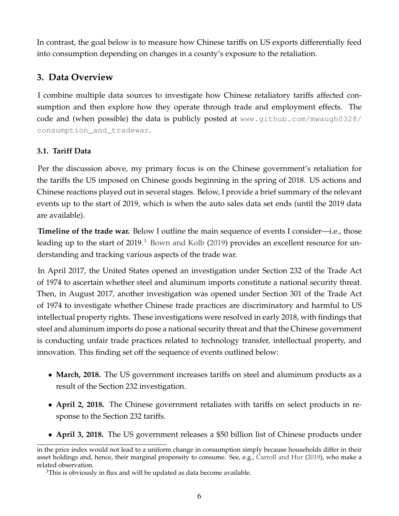In contrast, the goal below is to measure how Chinese tariffs on US exports differentially feed into consumption depending on changes in a county's exposure to the retaliation.

# <span id="page-6-1"></span>**3. Data Overview**

I combine multiple data sources to investigate how Chinese retaliatory tariffs affected consumption and then explore how they operate through trade and employment effects. The code and (when possible) the data is publicly posted at [www.github.com/mwaugh0328/](www.github.com/mwaugh0328/consumption_and_tradewar) [consumption\\_and\\_tradewar](www.github.com/mwaugh0328/consumption_and_tradewar).

# **3.1. Tariff Data**

Per the discussion above, my primary focus is on the Chinese government's retaliation for the tariffs the US imposed on Chinese goods beginning in the spring of 2018. US actions and Chinese reactions played out in several stages. Below, I provide a brief summary of the relevant events up to the start of 2019, which is when the auto sales data set ends (until the 2019 data are available).

**Timeline of the trade war.** Below I outline the main sequence of events I consider—i.e., those leading up to the start of 2019.<sup>[3](#page-6-0)</sup> [Bown and Kolb](#page-29-5) [\(2019\)](#page-29-5) provides an excellent resource for understanding and tracking various aspects of the trade war.

In April 2017, the United States opened an investigation under Section 232 of the Trade Act of 1974 to ascertain whether steel and aluminum imports constitute a national security threat. Then, in August 2017, another investigation was opened under Section 301 of the Trade Act of 1974 to investigate whether Chinese trade practices are discriminatory and harmful to US intellectual property rights. These investigations were resolved in early 2018, with findings that steel and aluminum imports do pose a national security threat and that the Chinese government is conducting unfair trade practices related to technology transfer, intellectual property, and innovation. This finding set off the sequence of events outlined below:

- March, 2018. The US government increases tariffs on steel and aluminum products as a result of the Section 232 investigation.
- **April 2, 2018.** The Chinese government retaliates with tariffs on select products in response to the Section 232 tariffs.
- **April 3, 2018.** The US government releases a \$50 billion list of Chinese products under

in the price index would not lead to a uniform change in consumption simply because households differ in their asset holdings and, hence, their marginal propensity to consume. See, e.g., [Carroll and Hur](#page-29-6) [\(2019\)](#page-29-6), who make a related observation.

<span id="page-6-0"></span><sup>&</sup>lt;sup>3</sup>This is obviously in flux and will be updated as data become available.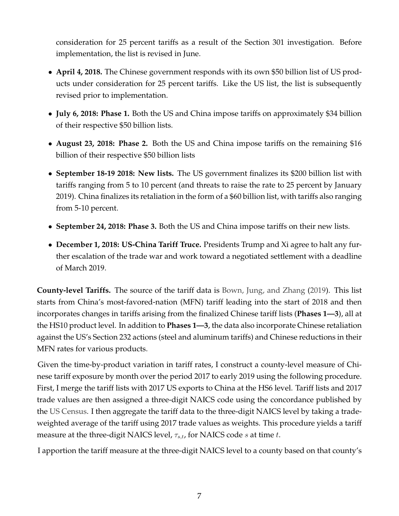consideration for 25 percent tariffs as a result of the Section 301 investigation. Before implementation, the list is revised in June.

- **April 4, 2018.** The Chinese government responds with its own \$50 billion list of US products under consideration for 25 percent tariffs. Like the US list, the list is subsequently revised prior to implementation.
- **July 6, 2018: Phase 1.** Both the US and China impose tariffs on approximately \$34 billion of their respective \$50 billion lists.
- **August 23, 2018: Phase 2.** Both the US and China impose tariffs on the remaining \$16 billion of their respective \$50 billion lists
- **September 18-19 2018: New lists.** The US government finalizes its \$200 billion list with tariffs ranging from 5 to 10 percent (and threats to raise the rate to 25 percent by January 2019). China finalizes its retaliation in the form of a \$60 billion list, with tariffs also ranging from 5-10 percent.
- **September 24, 2018: Phase 3.** Both the US and China impose tariffs on their new lists.
- **December 1, 2018: US-China Tariff Truce.** Presidents Trump and Xi agree to halt any further escalation of the trade war and work toward a negotiated settlement with a deadline of March 2019.

**County-level Tariffs.** The source of the tariff data is [Bown, Jung, and Zhang](#page-29-7) [\(2019\)](#page-29-7). This list starts from China's most-favored-nation (MFN) tariff leading into the start of 2018 and then incorporates changes in tariffs arising from the finalized Chinese tariff lists (**Phases 1—3**), all at the HS10 product level. In addition to **Phases 1—3**, the data also incorporate Chinese retaliation against the US's Section 232 actions (steel and aluminum tariffs) and Chinese reductions in their MFN rates for various products.

Given the time-by-product variation in tariff rates, I construct a county-level measure of Chinese tariff exposure by month over the period 2017 to early 2019 using the following procedure. First, I merge the tariff lists with 2017 US exports to China at the HS6 level. Tariff lists and 2017 trade values are then assigned a three-digit NAICS code using the concordance published by the [US Census.](https://www.census.gov/foreign-trade/reference/codes/index.html#concordance) I then aggregate the tariff data to the three-digit NAICS level by taking a tradeweighted average of the tariff using 2017 trade values as weights. This procedure yields a tariff measure at the three-digit NAICS level,  $\tau_{s,t}$ , for NAICS code s at time t.

I apportion the tariff measure at the three-digit NAICS level to a county based on that county's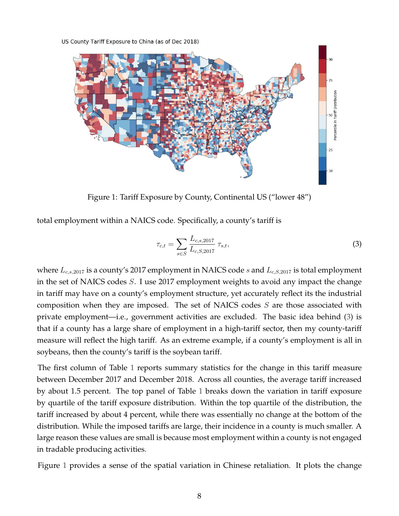<span id="page-8-1"></span>US County Tariff Exposure to China (as of Dec 2018)



Figure 1: Tariff Exposure by County, Continental US ("lower 48")

total employment within a NAICS code. Specifically, a county's tariff is

<span id="page-8-0"></span>
$$
\tau_{c,t} = \sum_{s \in S} \frac{L_{c,s,2017}}{L_{c,S,2017}} \tau_{s,t},\tag{3}
$$

where  $L_{c,s,2017}$  is a county's 2017 employment in NAICS code s and  $L_{c,S,2017}$  is total employment in the set of NAICS codes S. I use 2017 employment weights to avoid any impact the change in tariff may have on a county's employment structure, yet accurately reflect its the industrial composition when they are imposed. The set of NAICS codes S are those associated with private employment—i.e., government activities are excluded. The basic idea behind [\(3\)](#page-8-0) is that if a county has a large share of employment in a high-tariff sector, then my county-tariff measure will reflect the high tariff. As an extreme example, if a county's employment is all in soybeans, then the county's tariff is the soybean tariff.

The first column of Table [1](#page-11-0) reports summary statistics for the change in this tariff measure between December 2017 and December 2018. Across all counties, the average tariff increased by about 1.5 percent. The top panel of Table [1](#page-11-0) breaks down the variation in tariff exposure by quartile of the tariff exposure distribution. Within the top quartile of the distribution, the tariff increased by about 4 percent, while there was essentially no change at the bottom of the distribution. While the imposed tariffs are large, their incidence in a county is much smaller. A large reason these values are small is because most employment within a county is not engaged in tradable producing activities.

Figure [1](#page-8-1) provides a sense of the spatial variation in Chinese retaliation. It plots the change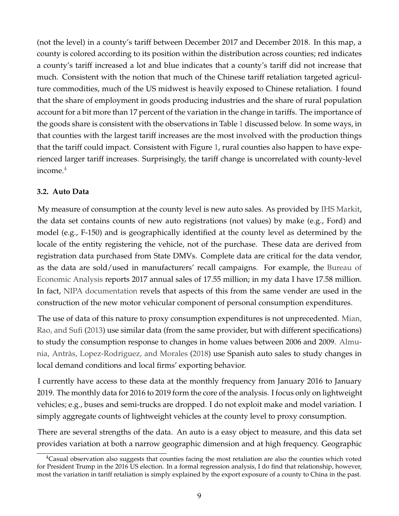(not the level) in a county's tariff between December 2017 and December 2018. In this map, a county is colored according to its position within the distribution across counties; red indicates a county's tariff increased a lot and blue indicates that a county's tariff did not increase that much. Consistent with the notion that much of the Chinese tariff retaliation targeted agriculture commodities, much of the US midwest is heavily exposed to Chinese retaliation. I found that the share of employment in goods producing industries and the share of rural population account for a bit more than 17 percent of the variation in the change in tariffs. The importance of the goods share is consistent with the observations in Table [1](#page-11-0) discussed below. In some ways, in that counties with the largest tariff increases are the most involved with the production things that the tariff could impact. Consistent with Figure [1,](#page-8-1) rural counties also happen to have experienced larger tariff increases. Surprisingly, the tariff change is uncorrelated with county-level income $<sup>4</sup>$  $<sup>4</sup>$  $<sup>4</sup>$ </sup>

### **3.2. Auto Data**

My measure of consumption at the county level is new auto sales. As provided by [IHS Markit,](https://ihsmarkit.com/products/automotive-market-data-analysis.html) the data set contains counts of new auto registrations (not values) by make (e.g., Ford) and model (e.g., F-150) and is geographically identified at the county level as determined by the locale of the entity registering the vehicle, not of the purchase. These data are derived from registration data purchased from State DMVs. Complete data are critical for the data vendor, as the data are sold/used in manufacturers' recall campaigns. For example, the [Bureau of](https://www.bea.gov/docs/gdp/auto-and-truck-seasonal-adjustment) [Economic Analysis](https://www.bea.gov/docs/gdp/auto-and-truck-seasonal-adjustment) reports 2017 annual sales of 17.55 million; in my data I have 17.58 million. In fact, [NIPA documentation](https://www.bea.gov/sites/default/files/methodologies/nipa-handbook-all-chapters.pdf) revels that aspects of this from the same vender are used in the construction of the new motor vehicular component of personal consumption expenditures.

The use of data of this nature to proxy consumption expenditures is not unprecedented. [Mian,](#page-30-6) [Rao, and Sufi](#page-30-6) [\(2013\)](#page-30-6) use similar data (from the same provider, but with different specifications) to study the consumption response to changes in home values between 2006 and 2009. [Almu-](#page-29-8)nia, Antràs, Lopez-Rodriguez, and Morales [\(2018\)](#page-29-8) use Spanish auto sales to study changes in local demand conditions and local firms' exporting behavior.

I currently have access to these data at the monthly frequency from January 2016 to January 2019. The monthly data for 2016 to 2019 form the core of the analysis. I focus only on lightweight vehicles; e.g., buses and semi-trucks are dropped. I do not exploit make and model variation. I simply aggregate counts of lightweight vehicles at the county level to proxy consumption.

There are several strengths of the data. An auto is a easy object to measure, and this data set provides variation at both a narrow geographic dimension and at high frequency. Geographic

<span id="page-9-0"></span> $4$ Casual observation also suggests that counties facing the most retaliation are also the counties which voted for President Trump in the 2016 US election. In a formal regression analysis, I do find that relationship, however, most the variation in tariff retaliation is simply explained by the export exposure of a county to China in the past.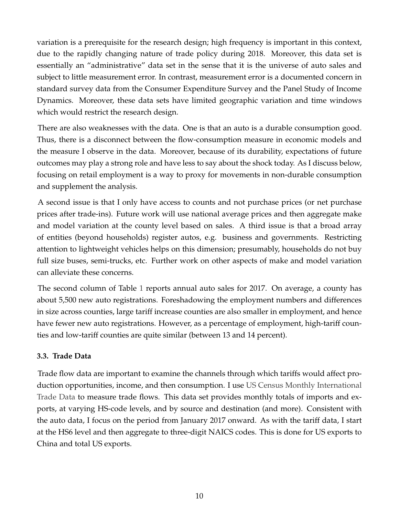variation is a prerequisite for the research design; high frequency is important in this context, due to the rapidly changing nature of trade policy during 2018. Moreover, this data set is essentially an "administrative" data set in the sense that it is the universe of auto sales and subject to little measurement error. In contrast, measurement error is a documented concern in standard survey data from the Consumer Expenditure Survey and the Panel Study of Income Dynamics. Moreover, these data sets have limited geographic variation and time windows which would restrict the research design.

There are also weaknesses with the data. One is that an auto is a durable consumption good. Thus, there is a disconnect between the flow-consumption measure in economic models and the measure I observe in the data. Moreover, because of its durability, expectations of future outcomes may play a strong role and have less to say about the shock today. As I discuss below, focusing on retail employment is a way to proxy for movements in non-durable consumption and supplement the analysis.

A second issue is that I only have access to counts and not purchase prices (or net purchase prices after trade-ins). Future work will use national average prices and then aggregate make and model variation at the county level based on sales. A third issue is that a broad array of entities (beyond households) register autos, e.g. business and governments. Restricting attention to lightweight vehicles helps on this dimension; presumably, households do not buy full size buses, semi-trucks, etc. Further work on other aspects of make and model variation can alleviate these concerns.

The second column of Table [1](#page-11-0) reports annual auto sales for 2017. On average, a county has about 5,500 new auto registrations. Foreshadowing the employment numbers and differences in size across counties, large tariff increase counties are also smaller in employment, and hence have fewer new auto registrations. However, as a percentage of employment, high-tariff counties and low-tariff counties are quite similar (between 13 and 14 percent).

### **3.3. Trade Data**

Trade flow data are important to examine the channels through which tariffs would affect production opportunities, income, and then consumption. I use [US Census Monthly International](https://www.census.gov/foreign-trade/data/index.html) [Trade Data](https://www.census.gov/foreign-trade/data/index.html) to measure trade flows. This data set provides monthly totals of imports and exports, at varying HS-code levels, and by source and destination (and more). Consistent with the auto data, I focus on the period from January 2017 onward. As with the tariff data, I start at the HS6 level and then aggregate to three-digit NAICS codes. This is done for US exports to China and total US exports.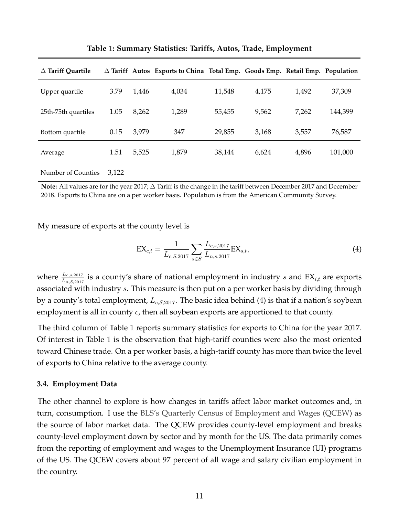<span id="page-11-0"></span>

| $\Delta$ Tariff Quartile |       |       | $\Delta$ Tariff Autos Exports to China Total Emp. Goods Emp. Retail Emp. Population |        |       |       |         |
|--------------------------|-------|-------|-------------------------------------------------------------------------------------|--------|-------|-------|---------|
| Upper quartile           | 3.79  | 1,446 | 4,034                                                                               | 11,548 | 4,175 | 1,492 | 37,309  |
| 25th-75th quartiles      | 1.05  | 8,262 | 1,289                                                                               | 55,455 | 9,562 | 7,262 | 144,399 |
| Bottom quartile          | 0.15  | 3,979 | 347                                                                                 | 29,855 | 3,168 | 3,557 | 76,587  |
| Average                  | 1.51  | 5,525 | 1,879                                                                               | 38,144 | 6,624 | 4,896 | 101,000 |
| Number of Counties       | 3.122 |       |                                                                                     |        |       |       |         |

**Table [1:](#page-11-0) Summary Statistics: Tariffs, Autos, Trade, Employment**

**Note:** All values are for the year 2017; ∆ Tariff is the change in the tariff between December 2017 and December 2018. Exports to China are on a per worker basis. Population is from the American Community Survey.

My measure of exports at the county level is

<span id="page-11-1"></span>
$$
EX_{c,t} = \frac{1}{L_{c,S,2017}} \sum_{s \in S} \frac{L_{c,s,2017}}{L_{n,s,2017}} EX_{s,t},
$$
\n(4)

where  $\frac{L_{c,s,2017}}{L_{n,S,2017}}$  is a county's share of national employment in industry s and  $\text{EX}_{i,t}$  are exports associated with industry s. This measure is then put on a per worker basis by dividing through by a county's total employment,  $L_{c,S,2017}$ . The basic idea behind [\(4\)](#page-11-1) is that if a nation's soybean employment is all in county c, then all soybean exports are apportioned to that county.

The third column of Table [1](#page-11-0) reports summary statistics for exports to China for the year 2017. Of interest in Table [1](#page-11-0) is the observation that high-tariff counties were also the most oriented toward Chinese trade. On a per worker basis, a high-tariff county has more than twice the level of exports to China relative to the average county.

#### **3.4. Employment Data**

The other channel to explore is how changes in tariffs affect labor market outcomes and, in turn, consumption. I use the [BLS's Quarterly Census of Employment and Wages \(QCEW\)](https://www.bls.gov/cew/) as the source of labor market data. The QCEW provides county-level employment and breaks county-level employment down by sector and by month for the US. The data primarily comes from the reporting of employment and wages to the Unemployment Insurance (UI) programs of the US. The QCEW covers about 97 percent of all wage and salary civilian employment in the country.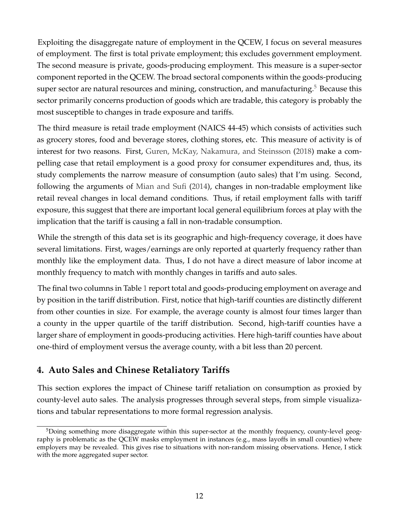Exploiting the disaggregate nature of employment in the QCEW, I focus on several measures of employment. The first is total private employment; this excludes government employment. The second measure is private, goods-producing employment. This measure is a super-sector component reported in the QCEW. The broad sectoral components within the goods-producing super sector are natural resources and mining, construction, and manufacturing.<sup>[5](#page-12-0)</sup> Because this sector primarily concerns production of goods which are tradable, this category is probably the most susceptible to changes in trade exposure and tariffs.

The third measure is retail trade employment (NAICS 44-45) which consists of activities such as grocery stores, food and beverage stores, clothing stores, etc. This measure of activity is of interest for two reasons. First, [Guren, McKay, Nakamura, and Steinsson](#page-30-2) [\(2018\)](#page-30-2) make a compelling case that retail employment is a good proxy for consumer expenditures and, thus, its study complements the narrow measure of consumption (auto sales) that I'm using. Second, following the arguments of [Mian and Sufi](#page-30-3) [\(2014\)](#page-30-3), changes in non-tradable employment like retail reveal changes in local demand conditions. Thus, if retail employment falls with tariff exposure, this suggest that there are important local general equilibrium forces at play with the implication that the tariff is causing a fall in non-tradable consumption.

While the strength of this data set is its geographic and high-frequency coverage, it does have several limitations. First, wages/earnings are only reported at quarterly frequency rather than monthly like the employment data. Thus, I do not have a direct measure of labor income at monthly frequency to match with monthly changes in tariffs and auto sales.

The final two columns in Table [1](#page-11-0) report total and goods-producing employment on average and by position in the tariff distribution. First, notice that high-tariff counties are distinctly different from other counties in size. For example, the average county is almost four times larger than a county in the upper quartile of the tariff distribution. Second, high-tariff counties have a larger share of employment in goods-producing activities. Here high-tariff counties have about one-third of employment versus the average county, with a bit less than 20 percent.

# <span id="page-12-1"></span>**4. Auto Sales and Chinese Retaliatory Tariffs**

This section explores the impact of Chinese tariff retaliation on consumption as proxied by county-level auto sales. The analysis progresses through several steps, from simple visualizations and tabular representations to more formal regression analysis.

<span id="page-12-0"></span><sup>5</sup>Doing something more disaggregate within this super-sector at the monthly frequency, county-level geography is problematic as the QCEW masks employment in instances (e.g., mass layoffs in small counties) where employers may be revealed. This gives rise to situations with non-random missing observations. Hence, I stick with the more aggregated super sector.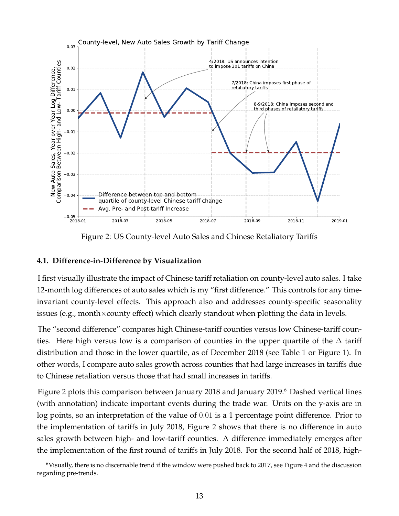<span id="page-13-0"></span>

Figure 2: US County-level Auto Sales and Chinese Retaliatory Tariffs

### **4.1. Difference-in-Difference by Visualization**

I first visually illustrate the impact of Chinese tariff retaliation on county-level auto sales. I take 12-month log differences of auto sales which is my "first difference." This controls for any timeinvariant county-level effects. This approach also and addresses county-specific seasonality issues (e.g., month $\times$ county effect) which clearly standout when plotting the data in levels.

The "second difference" compares high Chinese-tariff counties versus low Chinese-tariff counties. Here high versus low is a comparison of counties in the upper quartile of the  $\Delta$  tariff distribution and those in the lower quartile, as of December 2018 (see Table [1](#page-11-0) or Figure [1\)](#page-8-1). In other words, I compare auto sales growth across counties that had large increases in tariffs due to Chinese retaliation versus those that had small increases in tariffs.

Figure [2](#page-13-0) plots this comparison between January 2018 and January 2019.<sup>[6](#page-13-1)</sup> Dashed vertical lines (with annotation) indicate important events during the trade war. Units on the y-axis are in log points, so an interpretation of the value of 0.01 is a 1 percentage point difference. Prior to the implementation of tariffs in July 2018, Figure [2](#page-13-0) shows that there is no difference in auto sales growth between high- and low-tariff counties. A difference immediately emerges after the implementation of the first round of tariffs in July 2018. For the second half of 2018, high-

<span id="page-13-1"></span><sup>&</sup>lt;sup>6</sup>Visually, there is no discernable trend if the window were pushed back to 2017, see Figure [4](#page-23-0) and the discussion regarding pre-trends.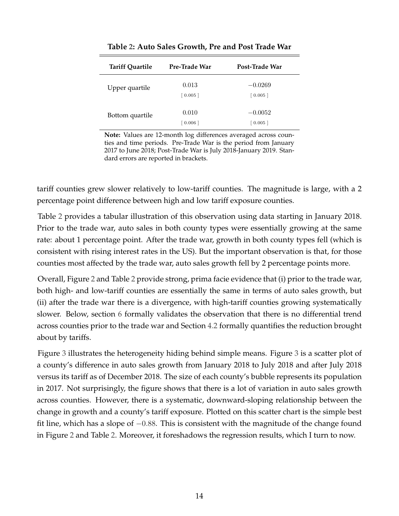<span id="page-14-0"></span>

| <b>Tariff Quartile</b> | Pre-Trade War    | Post-Trade War       |
|------------------------|------------------|----------------------|
| Upper quartile         | 0.013<br>[0.005] | $-0.0269$<br>[0.005] |
| Bottom quartile        | 0.010<br>[0.006] | $-0.0052$<br>[0.005] |

**Table [2:](#page-14-0) Auto Sales Growth, Pre and Post Trade War**

**Note:** Values are 12-month log differences averaged across counties and time periods. Pre-Trade War is the period from January 2017 to June 2018; Post-Trade War is July 2018-January 2019. Standard errors are reported in brackets.

tariff counties grew slower relatively to low-tariff counties. The magnitude is large, with a 2 percentage point difference between high and low tariff exposure counties.

Table [2](#page-14-0) provides a tabular illustration of this observation using data starting in January 2018. Prior to the trade war, auto sales in both county types were essentially growing at the same rate: about 1 percentage point. After the trade war, growth in both county types fell (which is consistent with rising interest rates in the US). But the important observation is that, for those counties most affected by the trade war, auto sales growth fell by 2 percentage points more.

Overall, Figure [2](#page-13-0) and Table [2](#page-14-0) provide strong, prima facie evidence that (i) prior to the trade war, both high- and low-tariff counties are essentially the same in terms of auto sales growth, but (ii) after the trade war there is a divergence, with high-tariff counties growing systematically slower. Below, section [6](#page-22-0) formally validates the observation that there is no differential trend across counties prior to the trade war and Section [4.2](#page-14-1) formally quantifies the reduction brought about by tariffs.

<span id="page-14-1"></span>Figure [3](#page-15-0) illustrates the heterogeneity hiding behind simple means. Figure [3](#page-15-0) is a scatter plot of a county's difference in auto sales growth from January 2018 to July 2018 and after July 2018 versus its tariff as of December 2018. The size of each county's bubble represents its population in 2017. Not surprisingly, the figure shows that there is a lot of variation in auto sales growth across counties. However, there is a systematic, downward-sloping relationship between the change in growth and a county's tariff exposure. Plotted on this scatter chart is the simple best fit line, which has a slope of −0.88. This is consistent with the magnitude of the change found in Figure [2](#page-13-0) and Table [2.](#page-14-0) Moreover, it foreshadows the regression results, which I turn to now.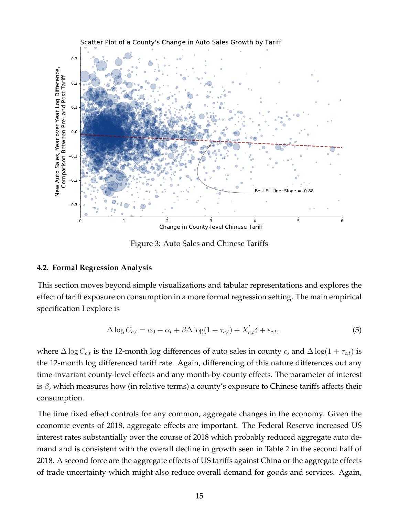<span id="page-15-0"></span>

Figure 3: Auto Sales and Chinese Tariffs

### **4.2. Formal Regression Analysis**

This section moves beyond simple visualizations and tabular representations and explores the effect of tariff exposure on consumption in a more formal regression setting. The main empirical specification I explore is

<span id="page-15-1"></span>
$$
\Delta \log C_{c,t} = \alpha_0 + \alpha_t + \beta \Delta \log(1 + \tau_{c,t}) + X'_{c,t} \delta + \epsilon_{c,t},
$$
\n(5)

where  $\Delta \log C_{c,t}$  is the 12-month log differences of auto sales in county c, and  $\Delta \log(1 + \tau_{c,t})$  is the 12-month log differenced tariff rate. Again, differencing of this nature differences out any time-invariant county-level effects and any month-by-county effects. The parameter of interest is  $\beta$ , which measures how (in relative terms) a county's exposure to Chinese tariffs affects their consumption.

The time fixed effect controls for any common, aggregate changes in the economy. Given the economic events of 2018, aggregate effects are important. The Federal Reserve increased US interest rates substantially over the course of 2018 which probably reduced aggregate auto demand and is consistent with the overall decline in growth seen in Table [2](#page-14-0) in the second half of 2018. A second force are the aggregate effects of US tariffs against China or the aggregate effects of trade uncertainty which might also reduce overall demand for goods and services. Again,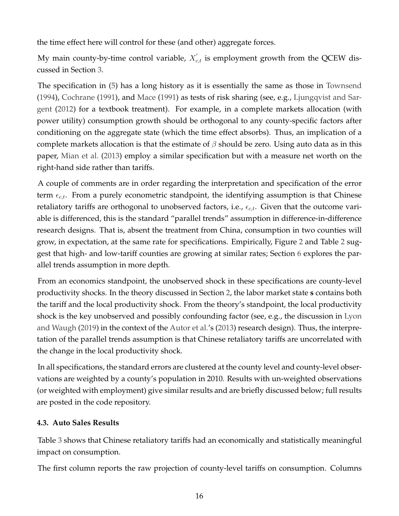the time effect here will control for these (and other) aggregate forces.

My main county-by-time control variable,  $X_{c,t}^{'}$  is employment growth from the QCEW discussed in Section [3.](#page-6-1)

The specification in [\(5\)](#page-15-1) has a long history as it is essentially the same as those in [Townsend](#page-30-7) [\(1994\)](#page-30-7), [Cochrane](#page-29-9) [\(1991\)](#page-29-9), and [Mace](#page-30-8) [\(1991\)](#page-30-8) as tests of risk sharing (see, e.g., [Ljungqvist and Sar](#page-30-9)[gent](#page-30-9) [\(2012\)](#page-30-9) for a textbook treatment). For example, in a complete markets allocation (with power utility) consumption growth should be orthogonal to any county-specific factors after conditioning on the aggregate state (which the time effect absorbs). Thus, an implication of a complete markets allocation is that the estimate of  $\beta$  should be zero. Using auto data as in this paper, [Mian et al.](#page-30-6) [\(2013\)](#page-30-6) employ a similar specification but with a measure net worth on the right-hand side rather than tariffs.

A couple of comments are in order regarding the interpretation and specification of the error term  $\epsilon_{c,t}$ . From a purely econometric standpoint, the identifying assumption is that Chinese retaliatory tariffs are orthogonal to unobserved factors, i.e.,  $\epsilon_{c,t}$ . Given that the outcome variable is differenced, this is the standard "parallel trends" assumption in difference-in-difference research designs. That is, absent the treatment from China, consumption in two counties will grow, in expectation, at the same rate for specifications. Empirically, Figure [2](#page-13-0) and Table [2](#page-14-0) suggest that high- and low-tariff counties are growing at similar rates; Section [6](#page-22-0) explores the parallel trends assumption in more depth.

From an economics standpoint, the unobserved shock in these specifications are county-level productivity shocks. In the theory discussed in Section [2,](#page-4-1) the labor market state **s** contains both the tariff and the local productivity shock. From the theory's standpoint, the local productivity shock is the key unobserved and possibly confounding factor (see, e.g., the discussion in [Lyon](#page-30-1) [and Waugh](#page-30-1) [\(2019\)](#page-30-1) in the context of the [Autor et al.'](#page-29-10)s [\(2013\)](#page-29-10) research design). Thus, the interpretation of the parallel trends assumption is that Chinese retaliatory tariffs are uncorrelated with the change in the local productivity shock.

In all specifications, the standard errors are clustered at the county level and county-level observations are weighted by a county's population in 2010. Results with un-weighted observations (or weighted with employment) give similar results and are briefly discussed below; full results are posted in the code repository.

# **4.3. Auto Sales Results**

Table [3](#page-17-0) shows that Chinese retaliatory tariffs had an economically and statistically meaningful impact on consumption.

The first column reports the raw projection of county-level tariffs on consumption. Columns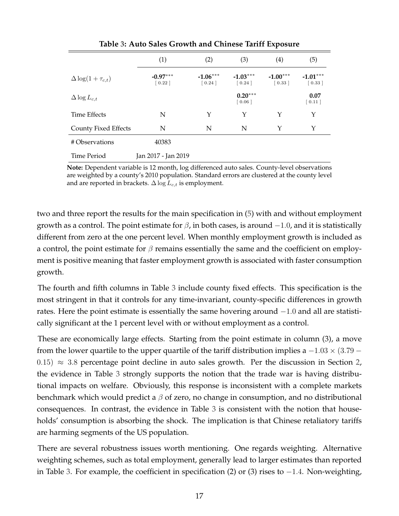<span id="page-17-0"></span>

|                             | (1)                               | (2)                               | (3)                               | (4)                               | (5)                               |
|-----------------------------|-----------------------------------|-----------------------------------|-----------------------------------|-----------------------------------|-----------------------------------|
| $\Delta \log(1+\tau_{c,t})$ | $-0.97***$<br>$\left[0.22\right]$ | $-1.06***$<br>$\left[0.24\right]$ | $-1.03***$<br>$\left[0.24\right]$ | $-1.00***$<br>$\left[0.33\right]$ | $-1.01***$<br>$\left[0.33\right]$ |
| $\Delta \log L_{c,t}$       |                                   |                                   | $0.20***$<br>$\left[0.06\right]$  |                                   | 0.07<br>[0.11]                    |
| <b>Time Effects</b>         | N                                 | Y                                 | Y                                 | Y                                 | Υ                                 |
| County Fixed Effects        | N                                 | N                                 | N                                 | Y                                 | Y                                 |
| # Observations              | 40383                             |                                   |                                   |                                   |                                   |
| Time Period                 | Jan 2017 - Jan 2019               |                                   |                                   |                                   |                                   |

**Table [3:](#page-17-0) Auto Sales Growth and Chinese Tariff Exposure**

**Note:** Dependent variable is 12 month, log differenced auto sales. County-level observations are weighted by a county's 2010 population. Standard errors are clustered at the county level and are reported in brackets.  $\Delta \log L_{c,t}$  is employment.

two and three report the results for the main specification in [\(5\)](#page-15-1) with and without employment growth as a control. The point estimate for  $\beta$ , in both cases, is around  $-1.0$ , and it is statistically different from zero at the one percent level. When monthly employment growth is included as a control, the point estimate for  $\beta$  remains essentially the same and the coefficient on employment is positive meaning that faster employment growth is associated with faster consumption growth.

The fourth and fifth columns in Table [3](#page-17-0) include county fixed effects. This specification is the most stringent in that it controls for any time-invariant, county-specific differences in growth rates. Here the point estimate is essentially the same hovering around −1.0 and all are statistically significant at the 1 percent level with or without employment as a control.

These are economically large effects. Starting from the point estimate in column (3), a move from the lower quartile to the upper quartile of the tariff distribution implies a  $-1.03 \times (3.79 -$ 0.15)  $\approx$  3.8 percentage point decline in auto sales growth. Per the discussion in Section [2,](#page-4-1) the evidence in Table [3](#page-17-0) strongly supports the notion that the trade war is having distributional impacts on welfare. Obviously, this response is inconsistent with a complete markets benchmark which would predict a  $\beta$  of zero, no change in consumption, and no distributional consequences. In contrast, the evidence in Table [3](#page-17-0) is consistent with the notion that households' consumption is absorbing the shock. The implication is that Chinese retaliatory tariffs are harming segments of the US population.

There are several robustness issues worth mentioning. One regards weighting. Alternative weighting schemes, such as total employment, generally lead to larger estimates than reported in Table [3.](#page-17-0) For example, the coefficient in specification (2) or (3) rises to −1.4. Non-weighting,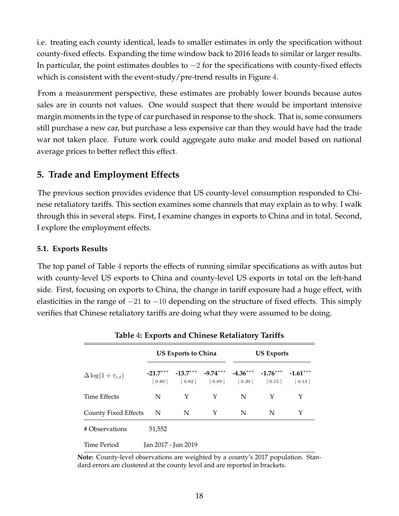i.e. treating each county identical, leads to smaller estimates in only the specification without county-fixed effects. Expanding the time window back to 2016 leads to similar or larger results. In particular, the point estimates doubles to  $-2$  for the specifications with county-fixed effects which is consistent with the event-study/pre-trend results in Figure [4.](#page-23-0)

From a measurement perspective, these estimates are probably lower bounds because autos sales are in counts not values. One would suspect that there would be important intensive margin moments in the type of car purchased in response to the shock. That is, some consumers still purchase a new car, but purchase a less expensive car than they would have had the trade war not taken place. Future work could aggregate auto make and model based on national average prices to better reflect this effect.

# **5. Trade and Employment Effects**

The previous section provides evidence that US county-level consumption responded to Chinese retaliatory tariffs. This section examines some channels that may explain as to why. I walk through this in several steps. First, I examine changes in exports to China and in total. Second, I explore the employment effects.

### **5.1. Exports Results**

The top panel of Table [4](#page-18-0) reports the effects of running similar specifications as with autos but with county-level US exports to China and county-level US exports in total on the left-hand side. First, focusing on exports to China, the change in tariff exposure had a huge effect, with elasticities in the range of  $-21$  to  $-10$  depending on the structure of fixed effects. This simply verifies that Chinese retaliatory tariffs are doing what they were assumed to be doing.

<span id="page-18-0"></span>

|                             |                     | US Exports to China |                                                                                                                                                                                                                                                                                                    | <b>US Exports</b> |   |   |  |
|-----------------------------|---------------------|---------------------|----------------------------------------------------------------------------------------------------------------------------------------------------------------------------------------------------------------------------------------------------------------------------------------------------|-------------------|---|---|--|
| $\Delta \log(1+\tau_{c,t})$ |                     |                     | $-21.7***$ $-13.7***$ $-9.74***$ $-4.36***$ $-1.76***$ $-1.61***$<br>$\begin{bmatrix} 0.80 \end{bmatrix}$ $\begin{bmatrix} 0.82 \end{bmatrix}$ $\begin{bmatrix} 0.89 \end{bmatrix}$ $\begin{bmatrix} 0.20 \end{bmatrix}$ $\begin{bmatrix} 0.15 \end{bmatrix}$ $\begin{bmatrix} 0.13 \end{bmatrix}$ |                   |   |   |  |
| Time Effects                | N                   | $\mathsf{Y}$        | Y                                                                                                                                                                                                                                                                                                  | N                 | Y | Y |  |
| County Fixed Effects N      |                     | N                   | Y                                                                                                                                                                                                                                                                                                  | N                 | N | Y |  |
| # Observations              | 51,552              |                     |                                                                                                                                                                                                                                                                                                    |                   |   |   |  |
| Time Period                 | Jan 2017 - Jun 2019 |                     |                                                                                                                                                                                                                                                                                                    |                   |   |   |  |

**Table [4:](#page-18-0) Exports and Chinese Retaliatory Tariffs**

**Note:** County-level observations are weighted by a county's 2017 population. Standard errors are clustered at the county level and are reported in brackets.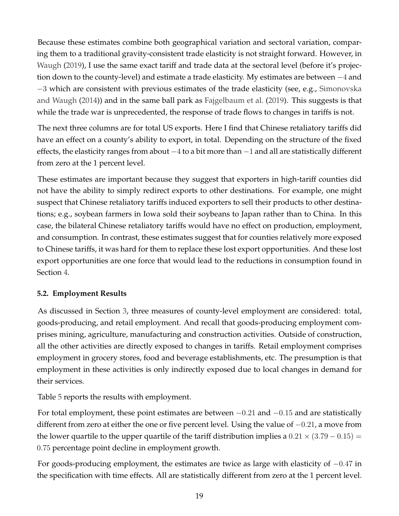Because these estimates combine both geographical variation and sectoral variation, comparing them to a traditional gravity-consistent trade elasticity is not straight forward. However, in [Waugh](#page-30-10) [\(2019\)](#page-30-10), I use the same exact tariff and trade data at the sectoral level (before it's projection down to the county-level) and estimate a trade elasticity. My estimates are between −4 and −3 which are consistent with previous estimates of the trade elasticity (see, e.g., [Simonovska](#page-30-11) [and Waugh](#page-30-11) [\(2014\)](#page-30-11)) and in the same ball park as [Fajgelbaum et al.](#page-29-2) [\(2019\)](#page-29-2). This suggests is that while the trade war is unprecedented, the response of trade flows to changes in tariffs is not.

The next three columns are for total US exports. Here I find that Chinese retaliatory tariffs did have an effect on a county's ability to export, in total. Depending on the structure of the fixed effects, the elasticity ranges from about  $-4$  to a bit more than  $-1$  and all are statistically different from zero at the 1 percent level.

These estimates are important because they suggest that exporters in high-tariff counties did not have the ability to simply redirect exports to other destinations. For example, one might suspect that Chinese retaliatory tariffs induced exporters to sell their products to other destinations; e.g., soybean farmers in Iowa sold their soybeans to Japan rather than to China. In this case, the bilateral Chinese retaliatory tariffs would have no effect on production, employment, and consumption. In contrast, these estimates suggest that for counties relatively more exposed to Chinese tariffs, it was hard for them to replace these lost export opportunities. And these lost export opportunities are one force that would lead to the reductions in consumption found in Section [4.](#page-12-1)

### **5.2. Employment Results**

As discussed in Section [3,](#page-6-1) three measures of county-level employment are considered: total, goods-producing, and retail employment. And recall that goods-producing employment comprises mining, agriculture, manufacturing and construction activities. Outside of construction, all the other activities are directly exposed to changes in tariffs. Retail employment comprises employment in grocery stores, food and beverage establishments, etc. The presumption is that employment in these activities is only indirectly exposed due to local changes in demand for their services.

Table [5](#page-20-0) reports the results with employment.

For total employment, these point estimates are between  $-0.21$  and  $-0.15$  and are statistically different from zero at either the one or five percent level. Using the value of −0.21, a move from the lower quartile to the upper quartile of the tariff distribution implies a  $0.21 \times (3.79 - 0.15) =$ 0.75 percentage point decline in employment growth.

For goods-producing employment, the estimates are twice as large with elasticity of −0.47 in the specification with time effects. All are statistically different from zero at the 1 percent level.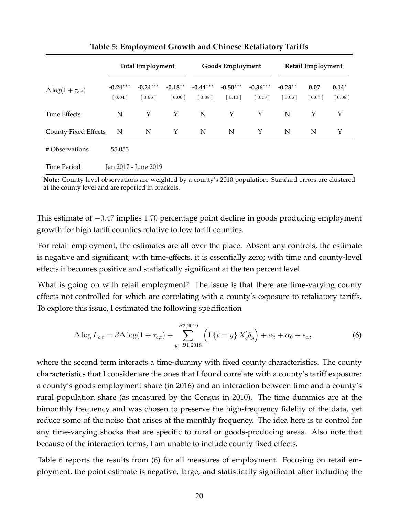<span id="page-20-0"></span>

|                             |                                   | <b>Total Employment</b>            |                                   | <b>Goods Employment</b><br><b>Retail Employment</b> |                                   |                                   |                      |                |                   |
|-----------------------------|-----------------------------------|------------------------------------|-----------------------------------|-----------------------------------------------------|-----------------------------------|-----------------------------------|----------------------|----------------|-------------------|
| $\Delta \log(1+\tau_{c,t})$ | $-0.24***$<br>$\left[0.04\right]$ | $-0.24***$<br>$\lceil 0.06 \rceil$ | $-0.18***$<br>$\left[0.06\right]$ | $-0.44***$<br>$\begin{bmatrix} 0.08 \end{bmatrix}$  | $-0.50***$<br>$\left[0.10\right]$ | $-0.36***$<br>$\left[0.13\right]$ | $-0.23***$<br>[0.06] | 0.07<br>[0.07] | $0.14*$<br>[0.08] |
| <b>Time Effects</b>         | N                                 | Y                                  | Y                                 | N                                                   | Y                                 | Y                                 | N                    | Y              | Y                 |
| <b>County Fixed Effects</b> | $\mathbf N$                       | N                                  | Y                                 | N                                                   | N                                 | Y                                 | N                    | N              | Y                 |
| # Observations              | 55,053                            |                                    |                                   |                                                     |                                   |                                   |                      |                |                   |
| Time Period                 |                                   | Jan 2017 - June 2019               |                                   |                                                     |                                   |                                   |                      |                |                   |

**Table [5:](#page-20-0) Employment Growth and Chinese Retaliatory Tariffs**

**Note:** County-level observations are weighted by a county's 2010 population. Standard errors are clustered at the county level and are reported in brackets.

This estimate of −0.47 implies 1.70 percentage point decline in goods producing employment growth for high tariff counties relative to low tariff counties.

For retail employment, the estimates are all over the place. Absent any controls, the estimate is negative and significant; with time-effects, it is essentially zero; with time and county-level effects it becomes positive and statistically significant at the ten percent level.

What is going on with retail employment? The issue is that there are time-varying county effects not controlled for which are correlating with a county's exposure to retaliatory tariffs. To explore this issue, I estimated the following specification

<span id="page-20-1"></span>
$$
\Delta \log L_{c,t} = \beta \Delta \log(1 + \tau_{c,t}) + \sum_{y=B1,2018}^{B3,2019} \left( 1 \left\{ t = y \right\} X_c' \delta_y \right) + \alpha_t + \alpha_0 + \epsilon_{c,t} \tag{6}
$$

where the second term interacts a time-dummy with fixed county characteristics. The county characteristics that I consider are the ones that I found correlate with a county's tariff exposure: a county's goods employment share (in 2016) and an interaction between time and a county's rural population share (as measured by the Census in 2010). The time dummies are at the bimonthly frequency and was chosen to preserve the high-frequency fidelity of the data, yet reduce some of the noise that arises at the monthly frequency. The idea here is to control for any time-varying shocks that are specific to rural or goods-producing areas. Also note that because of the interaction terms, I am unable to include county fixed effects.

Table [6](#page-21-0) reports the results from [\(6\)](#page-20-1) for all measures of employment. Focusing on retail employment, the point estimate is negative, large, and statistically significant after including the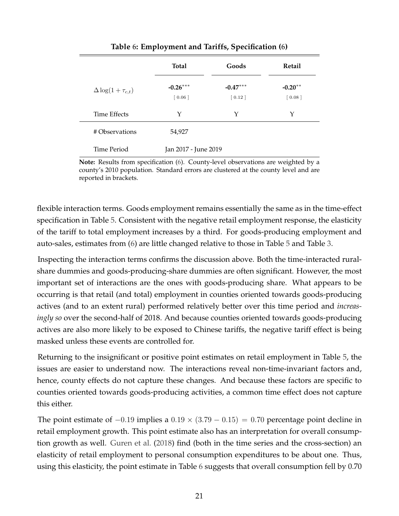<span id="page-21-0"></span>

|              |                             | Total                             | Goods                             | Retail                           |
|--------------|-----------------------------|-----------------------------------|-----------------------------------|----------------------------------|
|              | $\Delta \log(1+\tau_{c,t})$ | $-0.26***$<br>$\left[0.06\right]$ | $-0.47***$<br>$\left[0.12\right]$ | $-0.20**$<br>$\left[0.08\right]$ |
| Time Effects |                             | Υ                                 | Y                                 | Υ                                |
|              | # Observations              | 54,927                            |                                   |                                  |
| Time Period  |                             | Jan 2017 - June 2019              |                                   |                                  |

**Table [6:](#page-21-0) Employment and Tariffs, Specification [\(6\)](#page-20-1)**

**Note:** Results from specification [\(6\)](#page-20-1). County-level observations are weighted by a county's 2010 population. Standard errors are clustered at the county level and are reported in brackets.

flexible interaction terms. Goods employment remains essentially the same as in the time-effect specification in Table [5.](#page-20-0) Consistent with the negative retail employment response, the elasticity of the tariff to total employment increases by a third. For goods-producing employment and auto-sales, estimates from [\(6\)](#page-20-1) are little changed relative to those in Table [5](#page-20-0) and Table [3.](#page-17-0)

Inspecting the interaction terms confirms the discussion above. Both the time-interacted ruralshare dummies and goods-producing-share dummies are often significant. However, the most important set of interactions are the ones with goods-producing share. What appears to be occurring is that retail (and total) employment in counties oriented towards goods-producing actives (and to an extent rural) performed relatively better over this time period and *increasingly so* over the second-half of 2018. And because counties oriented towards goods-producing actives are also more likely to be exposed to Chinese tariffs, the negative tariff effect is being masked unless these events are controlled for.

Returning to the insignificant or positive point estimates on retail employment in Table [5,](#page-20-0) the issues are easier to understand now. The interactions reveal non-time-invariant factors and, hence, county effects do not capture these changes. And because these factors are specific to counties oriented towards goods-producing activities, a common time effect does not capture this either.

The point estimate of  $-0.19$  implies a  $0.19 \times (3.79 - 0.15) = 0.70$  percentage point decline in retail employment growth. This point estimate also has an interpretation for overall consumption growth as well. [Guren et al.](#page-30-2) [\(2018\)](#page-30-2) find (both in the time series and the cross-section) an elasticity of retail employment to personal consumption expenditures to be about one. Thus, using this elasticity, the point estimate in Table [6](#page-21-0) suggests that overall consumption fell by 0.70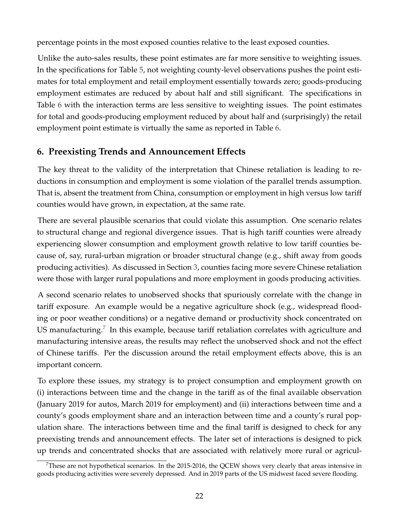percentage points in the most exposed counties relative to the least exposed counties.

Unlike the auto-sales results, these point estimates are far more sensitive to weighting issues. In the specifications for Table [5,](#page-20-0) not weighting county-level observations pushes the point estimates for total employment and retail employment essentially towards zero; goods-producing employment estimates are reduced by about half and still significant. The specifications in Table [6](#page-21-0) with the interaction terms are less sensitive to weighting issues. The point estimates for total and goods-producing employment reduced by about half and (surprisingly) the retail employment point estimate is virtually the same as reported in Table [6.](#page-21-0)

# <span id="page-22-0"></span>**6. Preexisting Trends and Announcement Effects**

The key threat to the validity of the interpretation that Chinese retaliation is leading to reductions in consumption and employment is some violation of the parallel trends assumption. That is, absent the treatment from China, consumption or employment in high versus low tariff counties would have grown, in expectation, at the same rate.

There are several plausible scenarios that could violate this assumption. One scenario relates to structural change and regional divergence issues. That is high tariff counties were already experiencing slower consumption and employment growth relative to low tariff counties because of, say, rural-urban migration or broader structural change (e.g., shift away from goods producing activities). As discussed in Section [3,](#page-6-1) counties facing more severe Chinese retaliation were those with larger rural populations and more employment in goods producing activities.

A second scenario relates to unobserved shocks that spuriously correlate with the change in tariff exposure. An example would be a negative agriculture shock (e.g., widespread flooding or poor weather conditions) or a negative demand or productivity shock concentrated on US manufacturing.<sup>[7](#page-22-1)</sup> In this example, because tariff retaliation correlates with agriculture and manufacturing intensive areas, the results may reflect the unobserved shock and not the effect of Chinese tariffs. Per the discussion around the retail employment effects above, this is an important concern.

To explore these issues, my strategy is to project consumption and employment growth on (i) interactions between time and the change in the tariff as of the final available observation (January 2019 for autos, March 2019 for employment) and (ii) interactions between time and a county's goods employment share and an interaction between time and a county's rural population share. The interactions between time and the final tariff is designed to check for any preexisting trends and announcement effects. The later set of interactions is designed to pick up trends and concentrated shocks that are associated with relatively more rural or agricul-

<span id="page-22-1"></span> $7$ These are not hypothetical scenarios. In the 2015-2016, the QCEW shows very clearly that areas intensive in goods producing activities were severely depressed. And in 2019 parts of the US midwest faced severe flooding.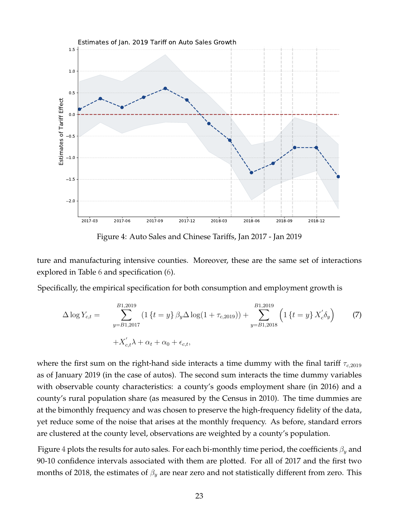<span id="page-23-0"></span>

Figure 4: Auto Sales and Chinese Tariffs, Jan 2017 - Jan 2019

ture and manufacturing intensive counties. Moreover, these are the same set of interactions explored in Table [6](#page-21-0) and specification [\(6\)](#page-20-1).

Specifically, the empirical specification for both consumption and employment growth is

$$
\Delta \log Y_{c,t} = \sum_{y=B1,2017}^{B1,2019} (1 \{t = y\} \beta_y \Delta \log(1 + \tau_{c,2019})) + \sum_{y=B1,2018}^{B1,2019} (1 \{t = y\} X_c' \delta_y)
$$
(7)  
+ $X_{c,t}' \lambda + \alpha_t + \alpha_0 + \epsilon_{c,t},$ 

where the first sum on the right-hand side interacts a time dummy with the final tariff  $\tau_{c,2019}$ as of January 2019 (in the case of autos). The second sum interacts the time dummy variables with observable county characteristics: a county's goods employment share (in 2016) and a county's rural population share (as measured by the Census in 2010). The time dummies are at the bimonthly frequency and was chosen to preserve the high-frequency fidelity of the data, yet reduce some of the noise that arises at the monthly frequency. As before, standard errors are clustered at the county level, observations are weighted by a county's population.

Figure [4](#page-23-0) plots the results for auto sales. For each bi-monthly time period, the coefficients  $\beta_y$  and 90-10 confidence intervals associated with them are plotted. For all of 2017 and the first two months of 2018, the estimates of  $\beta_y$  are near zero and not statistically different from zero. This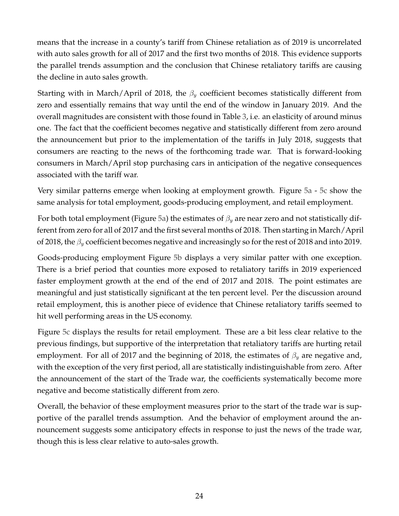means that the increase in a county's tariff from Chinese retaliation as of 2019 is uncorrelated with auto sales growth for all of 2017 and the first two months of 2018. This evidence supports the parallel trends assumption and the conclusion that Chinese retaliatory tariffs are causing the decline in auto sales growth.

Starting with in March/April of 2018, the  $\beta_y$  coefficient becomes statistically different from zero and essentially remains that way until the end of the window in January 2019. And the overall magnitudes are consistent with those found in Table [3,](#page-17-0) i.e. an elasticity of around minus one. The fact that the coefficient becomes negative and statistically different from zero around the announcement but prior to the implementation of the tariffs in July 2018, suggests that consumers are reacting to the news of the forthcoming trade war. That is forward-looking consumers in March/April stop purchasing cars in anticipation of the negative consequences associated with the tariff war.

Very similar patterns emerge when looking at employment growth. Figure [5a](#page-25-0) - [5c](#page-25-0) show the same analysis for total employment, goods-producing employment, and retail employment.

For both total employment (Figure [5a\)](#page-25-0) the estimates of  $\beta_u$  are near zero and not statistically different from zero for all of 2017 and the first several months of 2018. Then starting in March/April of 2018, the  $\beta_y$  coefficient becomes negative and increasingly so for the rest of 2018 and into 2019.

Goods-producing employment Figure [5b](#page-25-0) displays a very similar patter with one exception. There is a brief period that counties more exposed to retaliatory tariffs in 2019 experienced faster employment growth at the end of the end of 2017 and 2018. The point estimates are meaningful and just statistically significant at the ten percent level. Per the discussion around retail employment, this is another piece of evidence that Chinese retaliatory tariffs seemed to hit well performing areas in the US economy.

Figure [5c](#page-25-0) displays the results for retail employment. These are a bit less clear relative to the previous findings, but supportive of the interpretation that retaliatory tariffs are hurting retail employment. For all of 2017 and the beginning of 2018, the estimates of  $\beta_y$  are negative and, with the exception of the very first period, all are statistically indistinguishable from zero. After the announcement of the start of the Trade war, the coefficients systematically become more negative and become statistically different from zero.

Overall, the behavior of these employment measures prior to the start of the trade war is supportive of the parallel trends assumption. And the behavior of employment around the announcement suggests some anticipatory effects in response to just the news of the trade war, though this is less clear relative to auto-sales growth.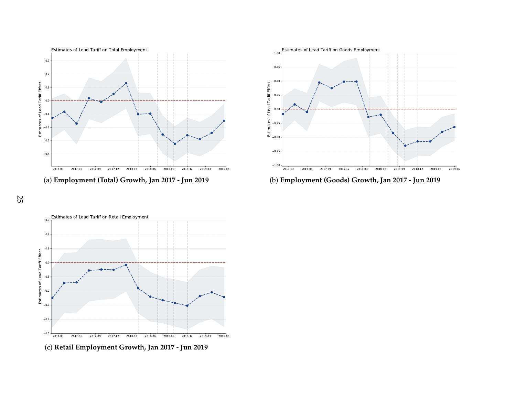



(b) **Employment (Goods) Growth, Jan <sup>2017</sup> - Jun <sup>2019</sup>**

<span id="page-25-0"></span>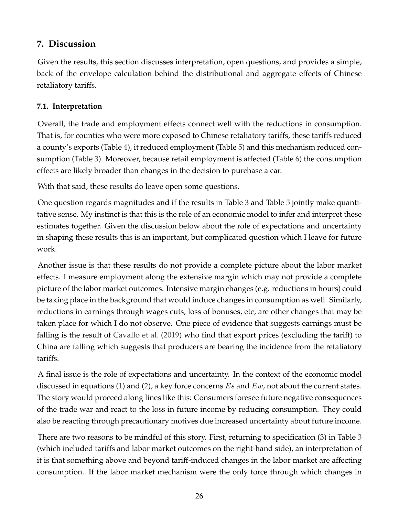# **7. Discussion**

Given the results, this section discusses interpretation, open questions, and provides a simple, back of the envelope calculation behind the distributional and aggregate effects of Chinese retaliatory tariffs.

## **7.1. Interpretation**

Overall, the trade and employment effects connect well with the reductions in consumption. That is, for counties who were more exposed to Chinese retaliatory tariffs, these tariffs reduced a county's exports (Table [4\)](#page-18-0), it reduced employment (Table [5\)](#page-20-0) and this mechanism reduced consumption (Table [3\)](#page-17-0). Moreover, because retail employment is affected (Table [6\)](#page-21-0) the consumption effects are likely broader than changes in the decision to purchase a car.

With that said, these results do leave open some questions.

One question regards magnitudes and if the results in Table [3](#page-17-0) and Table [5](#page-20-0) jointly make quantitative sense. My instinct is that this is the role of an economic model to infer and interpret these estimates together. Given the discussion below about the role of expectations and uncertainty in shaping these results this is an important, but complicated question which I leave for future work.

Another issue is that these results do not provide a complete picture about the labor market effects. I measure employment along the extensive margin which may not provide a complete picture of the labor market outcomes. Intensive margin changes (e.g. reductions in hours) could be taking place in the background that would induce changes in consumption as well. Similarly, reductions in earnings through wages cuts, loss of bonuses, etc, are other changes that may be taken place for which I do not observe. One piece of evidence that suggests earnings must be falling is the result of [Cavallo et al.](#page-29-4) [\(2019\)](#page-29-4) who find that export prices (excluding the tariff) to China are falling which suggests that producers are bearing the incidence from the retaliatory tariffs.

A final issue is the role of expectations and uncertainty. In the context of the economic model discussed in equations [\(1\)](#page-4-0) and [\(2\)](#page-5-0), a key force concerns  $Es$  and  $Ew$ , not about the current states. The story would proceed along lines like this: Consumers foresee future negative consequences of the trade war and react to the loss in future income by reducing consumption. They could also be reacting through precautionary motives due increased uncertainty about future income.

There are two reasons to be mindful of this story. First, returning to specification (3) in Table [3](#page-17-0) (which included tariffs and labor market outcomes on the right-hand side), an interpretation of it is that something above and beyond tariff-induced changes in the labor market are affecting consumption. If the labor market mechanism were the only force through which changes in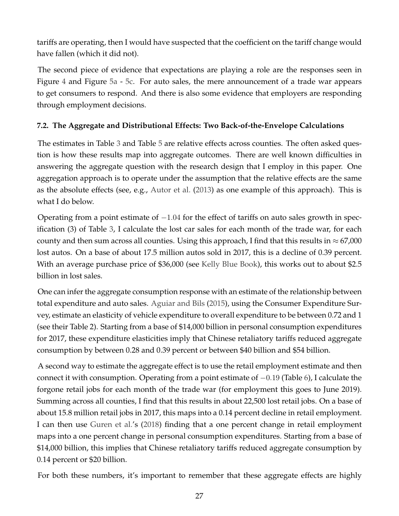tariffs are operating, then I would have suspected that the coefficient on the tariff change would have fallen (which it did not).

The second piece of evidence that expectations are playing a role are the responses seen in Figure [4](#page-23-0) and Figure [5a](#page-25-0) - [5c.](#page-25-0) For auto sales, the mere announcement of a trade war appears to get consumers to respond. And there is also some evidence that employers are responding through employment decisions.

## **7.2. The Aggregate and Distributional Effects: Two Back-of-the-Envelope Calculations**

The estimates in Table [3](#page-17-0) and Table [5](#page-20-0) are relative effects across counties. The often asked question is how these results map into aggregate outcomes. There are well known difficulties in answering the aggregate question with the research design that I employ in this paper. One aggregation approach is to operate under the assumption that the relative effects are the same as the absolute effects (see, e.g., [Autor et al.](#page-29-10) [\(2013\)](#page-29-10) as one example of this approach). This is what I do below.

Operating from a point estimate of  $-1.04$  for the effect of tariffs on auto sales growth in specification (3) of Table [3,](#page-17-0) I calculate the lost car sales for each month of the trade war, for each county and then sum across all counties. Using this approach, I find that this results in  $\approx 67,000$ lost autos. On a base of about 17.5 million autos sold in 2017, this is a decline of 0.39 percent. With an average purchase price of \$36,000 (see [Kelly Blue Book\)](https://mediaroom.kbb.com/2019-01-03-Average-New-Car-Prices-Up-More-Than-1-Percent-Year-Over-Year-for-December-2018-Closing-the-Strongest-Year-of-Growth-Since-2013-According-to-Kelley-Blue-Book), this works out to about \$2.5 billion in lost sales.

One can infer the aggregate consumption response with an estimate of the relationship between total expenditure and auto sales. [Aguiar and Bils](#page-29-11) [\(2015\)](#page-29-11), using the Consumer Expenditure Survey, estimate an elasticity of vehicle expenditure to overall expenditure to be between 0.72 and 1 (see their Table 2). Starting from a base of \$14,000 billion in personal consumption expenditures for 2017, these expenditure elasticities imply that Chinese retaliatory tariffs reduced aggregate consumption by between 0.28 and 0.39 percent or between \$40 billion and \$54 billion.

A second way to estimate the aggregate effect is to use the retail employment estimate and then connect it with consumption. Operating from a point estimate of −0.19 (Table [6\)](#page-21-0), I calculate the forgone retail jobs for each month of the trade war (for employment this goes to June 2019). Summing across all counties, I find that this results in about 22,500 lost retail jobs. On a base of about 15.8 million retail jobs in 2017, this maps into a 0.14 percent decline in retail employment. I can then use [Guren et al.'](#page-30-2)s [\(2018\)](#page-30-2) finding that a one percent change in retail employment maps into a one percent change in personal consumption expenditures. Starting from a base of \$14,000 billion, this implies that Chinese retaliatory tariffs reduced aggregate consumption by 0.14 percent or \$20 billion.

For both these numbers, it's important to remember that these aggregate effects are highly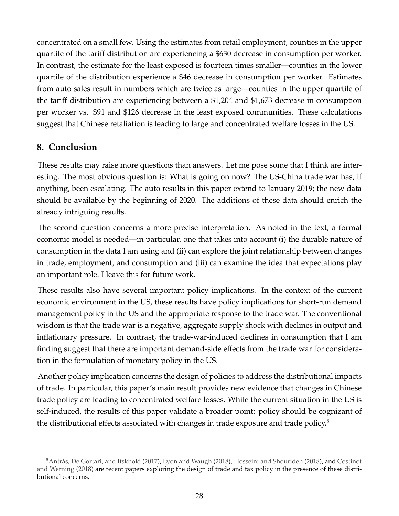concentrated on a small few. Using the estimates from retail employment, counties in the upper quartile of the tariff distribution are experiencing a \$630 decrease in consumption per worker. In contrast, the estimate for the least exposed is fourteen times smaller—counties in the lower quartile of the distribution experience a \$46 decrease in consumption per worker. Estimates from auto sales result in numbers which are twice as large—counties in the upper quartile of the tariff distribution are experiencing between a \$1,204 and \$1,673 decrease in consumption per worker vs. \$91 and \$126 decrease in the least exposed communities. These calculations suggest that Chinese retaliation is leading to large and concentrated welfare losses in the US.

# **8. Conclusion**

These results may raise more questions than answers. Let me pose some that I think are interesting. The most obvious question is: What is going on now? The US-China trade war has, if anything, been escalating. The auto results in this paper extend to January 2019; the new data should be available by the beginning of 2020. The additions of these data should enrich the already intriguing results.

The second question concerns a more precise interpretation. As noted in the text, a formal economic model is needed—in particular, one that takes into account (i) the durable nature of consumption in the data I am using and (ii) can explore the joint relationship between changes in trade, employment, and consumption and (iii) can examine the idea that expectations play an important role. I leave this for future work.

These results also have several important policy implications. In the context of the current economic environment in the US, these results have policy implications for short-run demand management policy in the US and the appropriate response to the trade war. The conventional wisdom is that the trade war is a negative, aggregate supply shock with declines in output and inflationary pressure. In contrast, the trade-war-induced declines in consumption that I am finding suggest that there are important demand-side effects from the trade war for consideration in the formulation of monetary policy in the US.

Another policy implication concerns the design of policies to address the distributional impacts of trade. In particular, this paper's main result provides new evidence that changes in Chinese trade policy are leading to concentrated welfare losses. While the current situation in the US is self-induced, the results of this paper validate a broader point: policy should be cognizant of the distributional effects associated with changes in trade exposure and trade policy. $8$ 

<span id="page-28-0"></span> $8$ Antràs, De Gortari, and Itskhoki [\(2017\)](#page-29-12), [Lyon and Waugh](#page-30-4) [\(2018\)](#page-30-12), [Hosseini and Shourideh](#page-30-12) (2018), and [Costinot](#page-29-13) [and Werning](#page-29-13) [\(2018\)](#page-29-13) are recent papers exploring the design of trade and tax policy in the presence of these distributional concerns.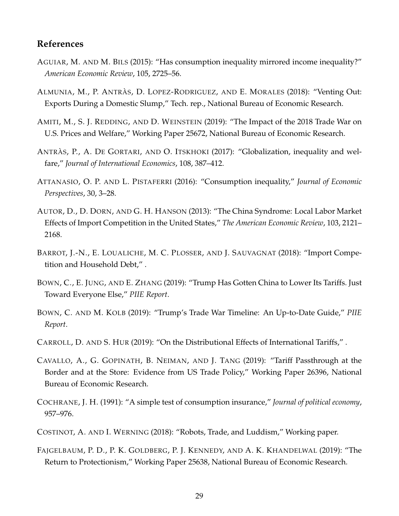### **References**

- <span id="page-29-11"></span>AGUIAR, M. AND M. BILS (2015): "Has consumption inequality mirrored income inequality?" *American Economic Review*, 105, 2725–56.
- <span id="page-29-8"></span>ALMUNIA, M., P. ANTRÀS, D. LOPEZ-RODRIGUEZ, AND E. MORALES (2018): "Venting Out: Exports During a Domestic Slump," Tech. rep., National Bureau of Economic Research.
- <span id="page-29-3"></span>AMITI, M., S. J. REDDING, AND D. WEINSTEIN (2019): "The Impact of the 2018 Trade War on U.S. Prices and Welfare," Working Paper 25672, National Bureau of Economic Research.
- <span id="page-29-12"></span>ANTRÀS, P., A. DE GORTARI, AND O. ITSKHOKI (2017): "Globalization, inequality and welfare," *Journal of International Economics*, 108, 387–412.
- <span id="page-29-0"></span>ATTANASIO, O. P. AND L. PISTAFERRI (2016): "Consumption inequality," *Journal of Economic Perspectives*, 30, 3–28.
- <span id="page-29-10"></span>AUTOR, D., D. DORN, AND G. H. HANSON (2013): "The China Syndrome: Local Labor Market Effects of Import Competition in the United States," *The American Economic Review*, 103, 2121– 2168.
- <span id="page-29-1"></span>BARROT, J.-N., E. LOUALICHE, M. C. PLOSSER, AND J. SAUVAGNAT (2018): "Import Competition and Household Debt," .
- <span id="page-29-7"></span>BOWN, C., E. JUNG, AND E. ZHANG (2019): "Trump Has Gotten China to Lower Its Tariffs. Just Toward Everyone Else," *PIIE Report*.
- <span id="page-29-5"></span>BOWN, C. AND M. KOLB (2019): "Trump's Trade War Timeline: An Up-to-Date Guide," *PIIE Report*.
- <span id="page-29-6"></span>CARROLL, D. AND S. HUR (2019): "On the Distributional Effects of International Tariffs," .
- <span id="page-29-4"></span>CAVALLO, A., G. GOPINATH, B. NEIMAN, AND J. TANG (2019): "Tariff Passthrough at the Border and at the Store: Evidence from US Trade Policy," Working Paper 26396, National Bureau of Economic Research.
- <span id="page-29-9"></span>COCHRANE, J. H. (1991): "A simple test of consumption insurance," *Journal of political economy*, 957–976.
- <span id="page-29-13"></span>COSTINOT, A. AND I. WERNING (2018): "Robots, Trade, and Luddism," Working paper.
- <span id="page-29-2"></span>FAJGELBAUM, P. D., P. K. GOLDBERG, P. J. KENNEDY, AND A. K. KHANDELWAL (2019): "The Return to Protectionism," Working Paper 25638, National Bureau of Economic Research.